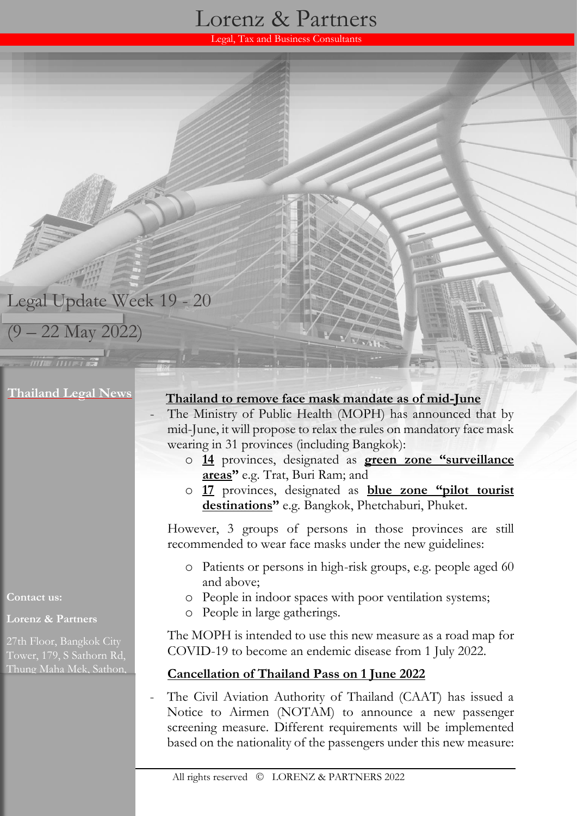# Lorenz & Partners

Legal, Tax and Business Consultants

# Legal Update Week 19 - 20

 $(9 - 22$  May 2022)

#### **Thailand Legal News**

**Contact us:**

#### **Lorenz & Partners**

27th Floor, Bangkok City Tower, 179, S Sathorn Rd, Thung Maha Mek, Sathon,

#### **Thailand to remove face mask mandate as of mid-June**

The Ministry of Public Health (MOPH) has announced that by mid-June, it will propose to relax the rules on mandatory face mask wearing in 31 provinces (including Bangkok):

- o **14** provinces, designated as **green zone "surveillance areas"** e.g. Trat, Buri Ram; and
- o **17** provinces, designated as **blue zone "pilot tourist destinations"** e.g. Bangkok, Phetchaburi, Phuket.

However, 3 groups of persons in those provinces are still recommended to wear face masks under the new guidelines:

- o Patients or persons in high-risk groups, e.g. people aged 60 and above;
- o People in indoor spaces with poor ventilation systems;
- o People in large gatherings.

The MOPH is intended to use this new measure as a road map for COVID-19 to become an endemic disease from 1 July 2022.

#### **Cancellation of Thailand Pass on 1 June 2022**

The Civil Aviation Authority of Thailand (CAAT) has issued a Notice to Airmen (NOTAM) to announce a new passenger screening measure. Different requirements will be implemented based on the nationality of the passengers under this new measure: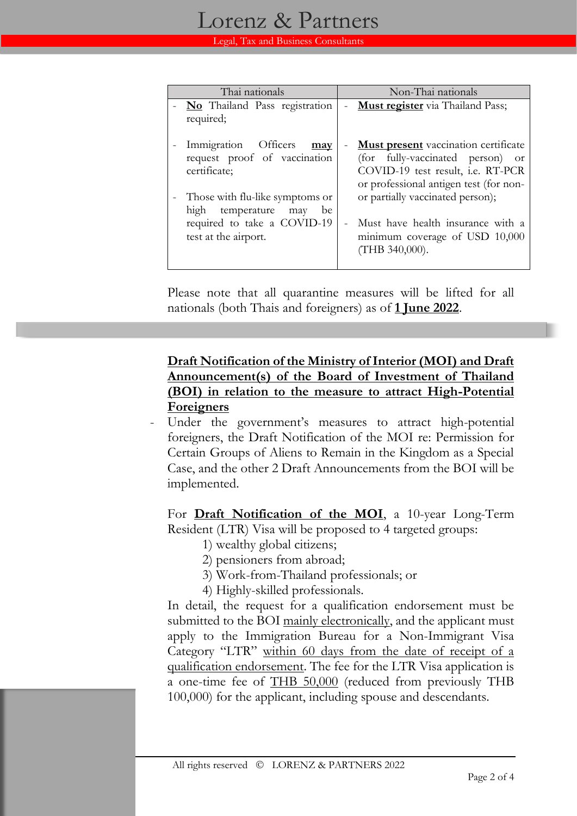| Thai nationals                                                                                                                                                                                         | Non-Thai nationals                                                                                                                                                                                                                                                                          |
|--------------------------------------------------------------------------------------------------------------------------------------------------------------------------------------------------------|---------------------------------------------------------------------------------------------------------------------------------------------------------------------------------------------------------------------------------------------------------------------------------------------|
| No Thailand Pass registration<br>required;                                                                                                                                                             | <b>Must register</b> via Thailand Pass;<br>$\sim$                                                                                                                                                                                                                                           |
| Immigration Officers<br>may<br>request proof of vaccination<br>certificate;<br>Those with flu-like symptoms or<br>high temperature<br>be<br>may<br>required to take a COVID-19<br>test at the airport. | <b>Must present</b> vaccination certificate<br>(for fully-vaccinated person) or<br>COVID-19 test result, i.e. RT-PCR<br>or professional antigen test (for non-<br>or partially vaccinated person);<br>Must have health insurance with a<br>minimum coverage of USD 10,000<br>(THB 340,000). |

Please note that all quarantine measures will be lifted for all nationals (both Thais and foreigners) as of **1 June 2022**.

## **Draft Notification of the Ministry of Interior (MOI) and Draft Announcement(s) of the Board of Investment of Thailand (BOI) in relation to the measure to attract High-Potential Foreigners**

Under the government's measures to attract high-potential foreigners, the Draft Notification of the MOI re: Permission for Certain Groups of Aliens to Remain in the Kingdom as a Special Case, and the other 2 Draft Announcements from the BOI will be implemented.

For **Draft Notification of the MOI**, a 10-year Long-Term Resident (LTR) Visa will be proposed to 4 targeted groups:

- 1) wealthy global citizens;
- 2) pensioners from abroad;
- 3) Work-from-Thailand professionals; or
- 4) Highly-skilled professionals.

In detail, the request for a qualification endorsement must be submitted to the BOI mainly electronically, and the applicant must apply to the Immigration Bureau for a Non-Immigrant Visa Category "LTR" within 60 days from the date of receipt of a qualification endorsement. The fee for the LTR Visa application is a one-time fee of **THB 50,000** (reduced from previously THB 100,000) for the applicant, including spouse and descendants.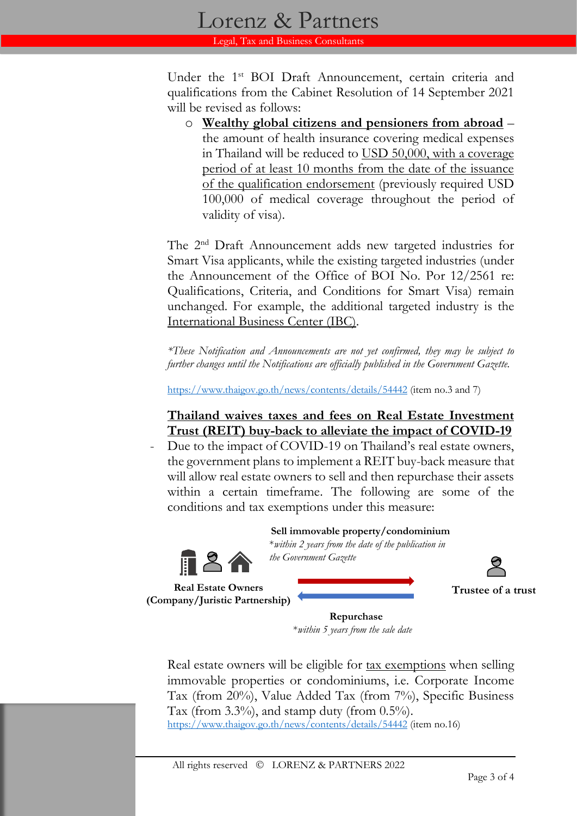Under the 1<sup>st</sup> BOI Draft Announcement, certain criteria and qualifications from the Cabinet Resolution of 14 September 2021 will be revised as follows:

o **Wealthy global citizens and pensioners from abroad** – the amount of health insurance covering medical expenses in Thailand will be reduced to USD 50,000, with a coverage period of at least 10 months from the date of the issuance of the qualification endorsement (previously required USD 100,000 of medical coverage throughout the period of validity of visa).

The 2nd Draft Announcement adds new targeted industries for Smart Visa applicants, while the existing targeted industries (under the Announcement of the Office of BOI No. Por 12/2561 re: Qualifications, Criteria, and Conditions for Smart Visa) remain unchanged. For example, the additional targeted industry is the International Business Center (IBC).

*\*These Notification and Announcements are not yet confirmed, they may be subject to further changes until the Notifications are officially published in the Government Gazette.* 

<https://www.thaigov.go.th/news/contents/details/54442> (item no.3 and 7)

# **Thailand waives taxes and fees on Real Estate Investment Trust (REIT) buy-back to alleviate the impact of COVID-19**

Due to the impact of COVID-19 on Thailand's real estate owners, the government plans to implement a REIT buy-back measure that will allow real estate owners to sell and then repurchase their assets within a certain timeframe. The following are some of the conditions and tax exemptions under this measure:



**Real Estate Owners (Company/Juristic Partnership)**

**Sell immovable property/condominium** \**within 2 years from the date of the publication in the Government Gazette*



**Trustee of a trust**

**Repurchase** \**within 5 years from the sale date*

Real estate owners will be eligible for tax exemptions when selling immovable properties or condominiums, i.e. Corporate Income Tax (from 20%), Value Added Tax (from 7%), Specific Business Tax (from 3.3%), and stamp duty (from  $0.5\%$ ). <https://www.thaigov.go.th/news/contents/details/54442> (item no.16)